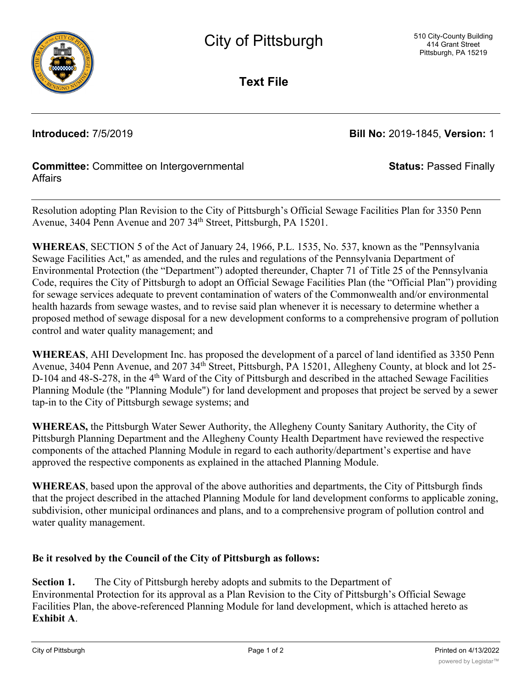

**Text File**

**Introduced:** 7/5/2019 **Bill No:** 2019-1845, **Version:** 1

**Status:** Passed Finally

## **Committee:** Committee on Intergovernmental **Affairs**

Resolution adopting Plan Revision to the City of Pittsburgh's Official Sewage Facilities Plan for 3350 Penn Avenue, 3404 Penn Avenue and 207 34<sup>th</sup> Street, Pittsburgh, PA 15201.

**WHEREAS**, SECTION 5 of the Act of January 24, 1966, P.L. 1535, No. 537, known as the "Pennsylvania Sewage Facilities Act," as amended, and the rules and regulations of the Pennsylvania Department of Environmental Protection (the "Department") adopted thereunder, Chapter 71 of Title 25 of the Pennsylvania Code, requires the City of Pittsburgh to adopt an Official Sewage Facilities Plan (the "Official Plan") providing for sewage services adequate to prevent contamination of waters of the Commonwealth and/or environmental health hazards from sewage wastes, and to revise said plan whenever it is necessary to determine whether a proposed method of sewage disposal for a new development conforms to a comprehensive program of pollution control and water quality management; and

**WHEREAS**, AHI Development Inc. has proposed the development of a parcel of land identified as 3350 Penn Avenue, 3404 Penn Avenue, and 207 34<sup>th</sup> Street, Pittsburgh, PA 15201, Allegheny County, at block and lot 25-D-104 and 48-S-278, in the 4<sup>th</sup> Ward of the City of Pittsburgh and described in the attached Sewage Facilities Planning Module (the "Planning Module") for land development and proposes that project be served by a sewer tap-in to the City of Pittsburgh sewage systems; and

**WHEREAS,** the Pittsburgh Water Sewer Authority, the Allegheny County Sanitary Authority, the City of Pittsburgh Planning Department and the Allegheny County Health Department have reviewed the respective components of the attached Planning Module in regard to each authority/department's expertise and have approved the respective components as explained in the attached Planning Module.

**WHEREAS**, based upon the approval of the above authorities and departments, the City of Pittsburgh finds that the project described in the attached Planning Module for land development conforms to applicable zoning, subdivision, other municipal ordinances and plans, and to a comprehensive program of pollution control and water quality management.

## **Be it resolved by the Council of the City of Pittsburgh as follows:**

**Section 1.** The City of Pittsburgh hereby adopts and submits to the Department of Environmental Protection for its approval as a Plan Revision to the City of Pittsburgh's Official Sewage Facilities Plan, the above-referenced Planning Module for land development, which is attached hereto as **Exhibit A**.

 $\overline{a}$